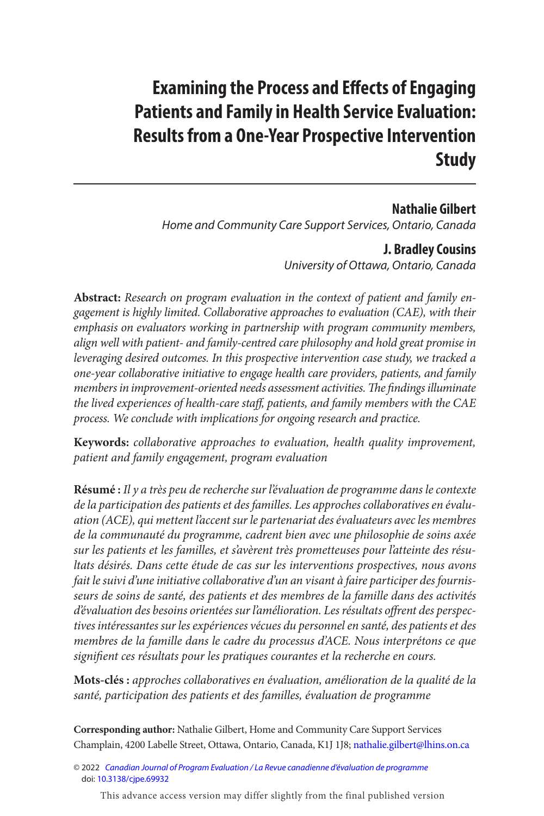# **Examining the Process and Efects of Engaging Patients and Family in Health Service Evaluation: Results from a One-Year Prospective Intervention Study**

# **Nathalie Gilbert**

Home and Community Care Support Services, Ontario, Canada

### **J. Bradley Cousins**

University of Ottawa, Ontario, Canada

Abstract: Research on program evaluation in the context of patient and family engagement is highly limited. Collaborative approaches to evaluation (CAE), with their emphasis on evaluators working in partnership with program community members, align well with patient- and family-centred care philosophy and hold great promise in leveraging desired outcomes. In this prospective intervention case study, we tracked a one-year collaborative initiative to engage health care providers, patients, and family members in improvement-oriented needs assessment activities. The findings illuminate the lived experiences of health-care staf, patients, and family members with the CAE process. We conclude with implications for ongoing research and practice.

**Keywords:** collaborative approaches to evaluation, health quality improvement, patient and family engagement, program evaluation

**Résumé :** Il y a très peu de recherche sur l'évaluation de programme dans le contexte de la participation des patients et des familles. Les approches collaboratives en évaluation (ACE), qui mettent l'accent sur le partenariat des évaluateurs avec les membres de la communauté du programme, cadrent bien avec une philosophie de soins axée sur les patients et les familles, et s'avèrent très prometteuses pour l'atteinte des résultats désirés. Dans cette étude de cas sur les interventions prospectives, nous avons fait le suivi d'une initiative collaborative d'un an visant à faire participer des fournisseurs de soins de santé, des patients et des membres de la famille dans des activités d'évaluation des besoins orientées sur l'amélioration. Les résultats ofrent des perspectives intéressantes sur les expériences vécues du personnel en santé, des patients et des membres de la famille dans le cadre du processus d'ACE. Nous interprétons ce que signifent ces résultats pour les pratiques courantes et la recherche en cours.

**Mots-clés :** approches collaboratives en évaluation, amélioration de la qualité de la santé, participation des patients et des familles, évaluation de programme

**Corresponding author:** Nathalie Gilbert, Home and Community Care Support Services Champlain, 4200 Labelle Street, Ottawa, Ontario, Canada, K1J 1J8; [nathalie.gilbert@lhins.on.ca](mailto:nathalie.gilbert@lhins.on.ca) 

© 2022 [Canadian Journal of Program Evaluation / La Revue canadienne d'évaluation de programme](https://www.utpjournals.press/loi/cjpe) doi: [10.3138/cjpe.69932](https://doi.org/10.3138/cjpe.69932)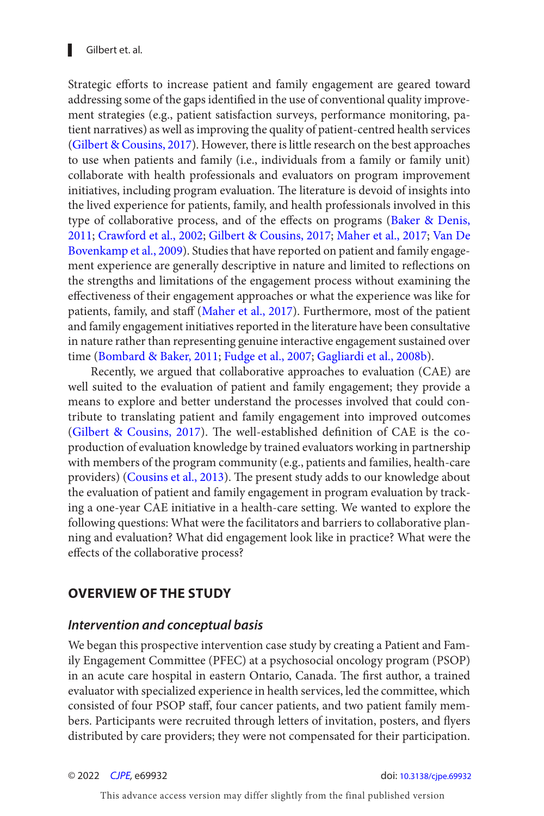<span id="page-1-0"></span> Strategic eforts to increase patient and family engagement are geared toward addressing some of the gaps identifed in the use of conventional quality improvement strategies (e.g., patient satisfaction surveys, performance monitoring, patient narratives) as well as improving the quality of patient-centred health services [\(Gilbert & Cousins, 2017](#page-19-0)). However, there is little research on the best approaches to use when patients and family (i.e., individuals from a family or family unit) collaborate with health professionals and evaluators on program improvement initiatives, including program evaluation. The literature is devoid of insights into the lived experience for patients, family, and health professionals involved in this type of collaborative process, and of the effects on programs [\(Baker & Denis,](#page-18-0) [2011](#page-18-0); [Crawford et al., 2002](#page-18-0); [Gilbert & Cousins, 2017](#page-19-0); [Maher et al., 2017](#page-19-0); [Van De](#page-19-0)  [Bovenkamp et al., 2009](#page-19-0)). Studies that have reported on patient and family engagement experience are generally descriptive in nature and limited to reflections on the strengths and limitations of the engagement process without examining the efectiveness of their engagement approaches or what the experience was like for patients, family, and staff [\(Maher et al., 2017](#page-19-0)). Furthermore, most of the patient and family engagement initiatives reported in the literature have been consultative in nature rather than representing genuine interactive engagement sustained over time ([Bombard & Baker, 2011](#page-18-0); [Fudge et al., 2007](#page-18-0); [Gagliardi et al., 2008b](#page-19-0)).

Recently, we argued that collaborative approaches to evaluation (CAE) are well suited to the evaluation of patient and family engagement; they provide a means to explore and better understand the processes involved that could contribute to translating patient and family engagement into improved outcomes (Gilbert & Cousins, 2017). The well-established definition of CAE is the coproduction of evaluation knowledge by trained evaluators working in partnership with members of the program community (e.g., patients and families, health-care providers) ([Cousins et al., 2013](#page-18-0)). The present study adds to our knowledge about the evaluation of patient and family engagement in program evaluation by tracking a one-year CAE initiative in a health-care setting. We wanted to explore the following questions: What were the facilitators and barriers to collaborative planning and evaluation? What did engagement look like in practice? What were the efects of the collaborative process?

# **OVERVIEW OF THE STUDY**

#### **Intervention and conceptual basis**

We began this prospective intervention case study by creating a Patient and Family Engagement Committee (PFEC) at a psychosocial oncology program (PSOP) in an acute care hospital in eastern Ontario, Canada. The first author, a trained evaluator with specialized experience in health services, led the committee, which consisted of four PSOP staf, four cancer patients, and two patient family members. Participants were recruited through letters of invitation, posters, and flyers distributed by care providers; they were not compensated for their participation.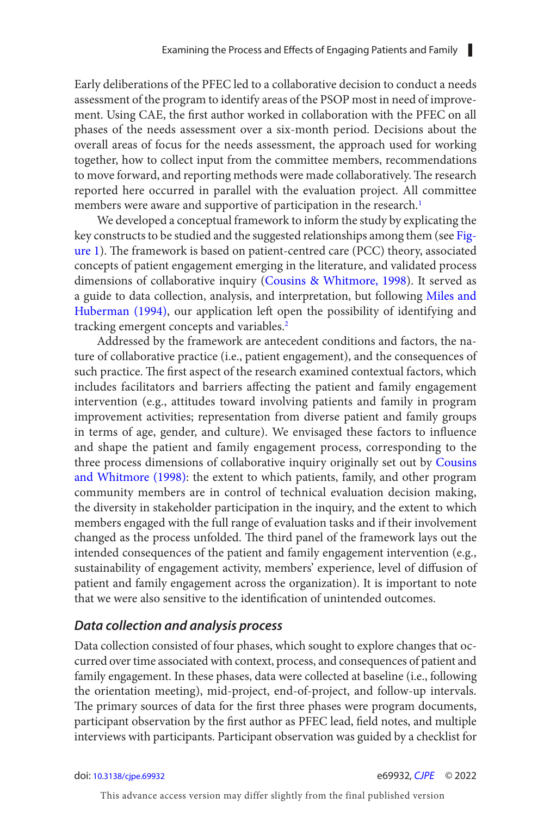<span id="page-2-0"></span>Early deliberations of the PFEC led to a collaborative decision to conduct a needs assessment of the program to identify areas of the PSOP most in need of improvement. Using CAE, the frst author worked in collaboration with the PFEC on all phases of the needs assessment over a six-month period. Decisions about the overall areas of focus for the needs assessment, the approach used for working together, how to collect input from the committee members, recommendations to move forward, and reporting methods were made collaboratively. The research reported here occurred in parallel with the evaluation project. All committee members were aware and supportive of participation in the research.<sup>1</sup>

We developed a conceptual framework to inform the study by explicating the key constructs to be studied and the suggested relationships among them (see [Fig](#page-3-0)[ure 1](#page-3-0)). The framework is based on patient-centred care (PCC) theory, associated concepts of patient engagement emerging in the literature, and validated process dimensions of collaborative inquiry ([Cousins & Whitmore, 1998](#page-18-0)). It served as a guide to data collection, analysis, and interpretation, but following [Miles and](#page-19-0) [Huberman \(1994\)](#page-19-0), our application left open the possibility of identifying and tracking emergent concepts and variables.<sup>2</sup>

Addressed by the framework are antecedent conditions and factors, the nature of collaborative practice (i.e., patient engagement), and the consequences of such practice. The first aspect of the research examined contextual factors, which includes facilitators and barriers afecting the patient and family engagement intervention (e.g., attitudes toward involving patients and family in program improvement activities; representation from diverse patient and family groups in terms of age, gender, and culture). We envisaged these factors to influence and shape the patient and family engagement process, corresponding to the three process dimensions of collaborative inquiry originally set out by [Cousins](#page-18-0)  and Whitmore (1998): the extent to which patients, family, and other program community members are in control of technical evaluation decision making, the diversity in stakeholder participation in the inquiry, and the extent to which members engaged with the full range of evaluation tasks and if their involvement changed as the process unfolded. The third panel of the framework lays out the intended consequences of the patient and family engagement intervention (e.g., sustainability of engagement activity, members' experience, level of diffusion of patient and family engagement across the organization). It is important to note that we were also sensitive to the identifcation of unintended outcomes.

#### **Data collection and analysis process**

Data collection consisted of four phases, which sought to explore changes that occurred over time associated with context, process, and consequences of patient and family engagement. In these phases, data were collected at baseline (i.e., following the orientation meeting), mid-project, end-of-project, and follow-up intervals. The primary sources of data for the first three phases were program documents, participant observation by the frst author as PFEC lead, feld notes, and multiple interviews with participants. Participant observation was guided by a checklist for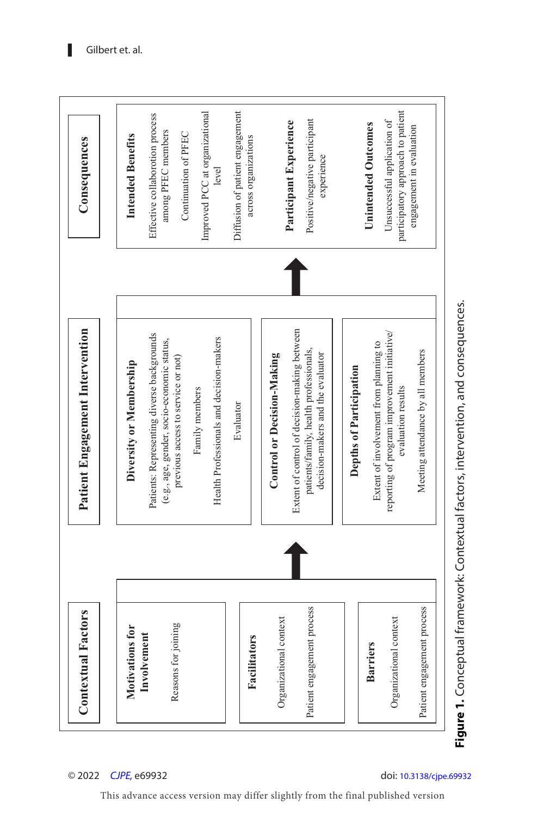<span id="page-3-0"></span>

onsequenc ention, and c ە<br>ت : Contextual factors, int eptual framework onc C **e 1. igurF**

.<br>es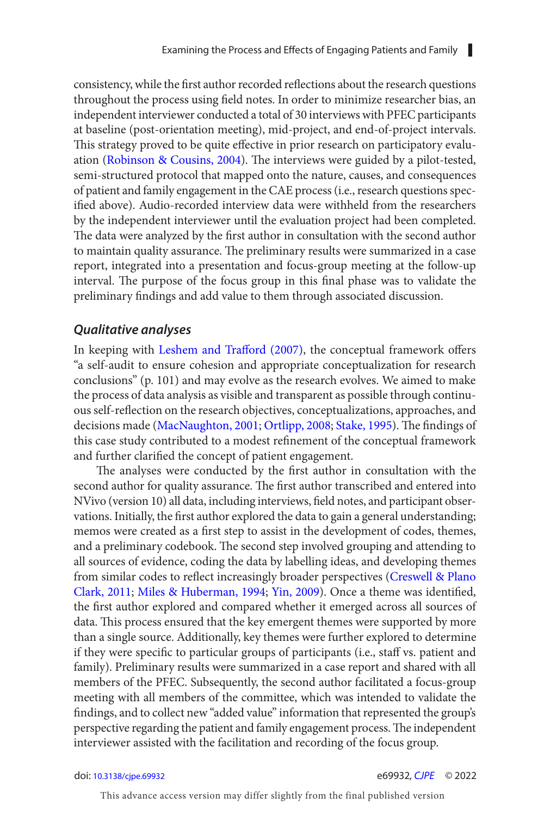<span id="page-4-0"></span>consistency, while the frst author recorded refections about the research questions throughout the process using feld notes. In order to minimize researcher bias, an independent interviewer conducted a total of 30 interviews with PFEC participants at baseline (post-orientation meeting), mid-project, and end-of-project intervals. This strategy proved to be quite effective in prior research on participatory evalu-ation [\(Robinson & Cousins, 2004](#page-19-0)). The interviews were guided by a pilot-tested, semi-structured protocol that mapped onto the nature, causes, and consequences of patient and family engagement in the CAE process (i.e., research questions specifed above). Audio-recorded interview data were withheld from the researchers by the independent interviewer until the evaluation project had been completed. The data were analyzed by the first author in consultation with the second author to maintain quality assurance. The preliminary results were summarized in a case report, integrated into a presentation and focus-group meeting at the follow-up interval. The purpose of the focus group in this final phase was to validate the preliminary fndings and add value to them through associated discussion.

#### **Qualitative analyses**

In keeping with Leshem and Trafford (2007), the conceptual framework offers "a self-audit to ensure cohesion and appropriate conceptualization for research conclusions" (p. 101) and may evolve as the research evolves. We aimed to make the process of data analysis as visible and transparent as possible through continuous self-refection on the research objectives, conceptualizations, approaches, and decisions made [\(MacNaughton, 2001](#page-19-0); [Ortlipp, 2008](#page-19-0); [Stake, 1995](#page-19-0)). The findings of this case study contributed to a modest refnement of the conceptual framework and further clarifed the concept of patient engagement.

The analyses were conducted by the first author in consultation with the second author for quality assurance. The first author transcribed and entered into NVivo (version 10) all data, including interviews, feld notes, and participant observations. Initially, the frst author explored the data to gain a general understanding; memos were created as a frst step to assist in the development of codes, themes, and a preliminary codebook. The second step involved grouping and attending to all sources of evidence, coding the data by labelling ideas, and developing themes from similar codes to reflect increasingly broader perspectives (Creswell & Plano [Clark, 2011](#page-18-0); [Miles & Huberman, 1994](#page-19-0); [Yin, 2009](#page-19-0)). Once a theme was identified, the frst author explored and compared whether it emerged across all sources of data. This process ensured that the key emergent themes were supported by more than a single source. Additionally, key themes were further explored to determine if they were specific to particular groups of participants (i.e., staff vs. patient and family). Preliminary results were summarized in a case report and shared with all members of the PFEC. Subsequently, the second author facilitated a focus-group meeting with all members of the committee, which was intended to validate the fndings, and to collect new "added value" information that represented the group's perspective regarding the patient and family engagement process. The independent interviewer assisted with the facilitation and recording of the focus group.

#### doi: [10.3138/cjpe.69932](https://doi.org/10.3138/cjpe.69932) e69932, [CJPE](https://www.utpjournals.press/loi/cjpe) © 2022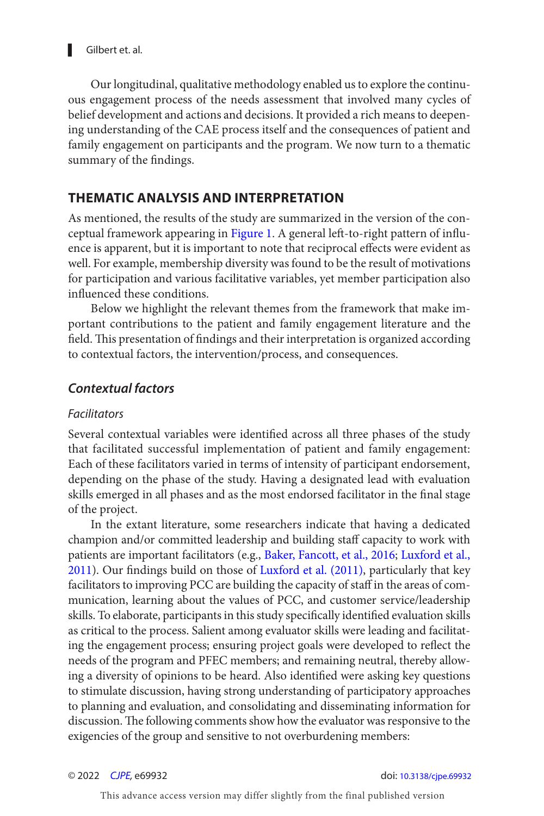<span id="page-5-0"></span>Our longitudinal, qualitative methodology enabled us to explore the continuous engagement process of the needs assessment that involved many cycles of belief development and actions and decisions. It provided a rich means to deepening understanding of the CAE process itself and the consequences of patient and family engagement on participants and the program. We now turn to a thematic summary of the findings.

### **THEMATIC ANALYSIS AND INTERPRETATION**

As mentioned, the results of the study are summarized in the version of the con-ceptual framework appearing in [Figure 1](#page-3-0). A general left-to-right pattern of influence is apparent, but it is important to note that reciprocal efects were evident as well. For example, membership diversity was found to be the result of motivations for participation and various facilitative variables, yet member participation also infuenced these conditions.

Below we highlight the relevant themes from the framework that make important contributions to the patient and family engagement literature and the field. This presentation of findings and their interpretation is organized according to contextual factors, the intervention/process, and consequences.

### **Contextual factors**

#### Facilitators

Several contextual variables were identifed across all three phases of the study that facilitated successful implementation of patient and family engagement: Each of these facilitators varied in terms of intensity of participant endorsement, depending on the phase of the study. Having a designated lead with evaluation skills emerged in all phases and as the most endorsed facilitator in the final stage of the project.

In the extant literature, some researchers indicate that having a dedicated champion and/or committed leadership and building staff capacity to work with patients are important facilitators (e.g., [Baker, Fancott, et al., 2016](#page-18-0); [Luxford et al.,](#page-19-0)  [2011](#page-19-0)). Our fndings build on those of [Luxford et al. \(2011 \)](#page-19-0), particularly that key facilitators to improving PCC are building the capacity of staf in the areas of communication, learning about the values of PCC, and customer service/leadership skills. To elaborate, participants in this study specifically identified evaluation skills as critical to the process. Salient among evaluator skills were leading and facilitating the engagement process; ensuring project goals were developed to reflect the needs of the program and PFEC members; and remaining neutral, thereby allowing a diversity of opinions to be heard. Also identifed were asking key questions to stimulate discussion, having strong understanding of participatory approaches to planning and evaluation, and consolidating and disseminating information for discussion. The following comments show how the evaluator was responsive to the exigencies of the group and sensitive to not overburdening members: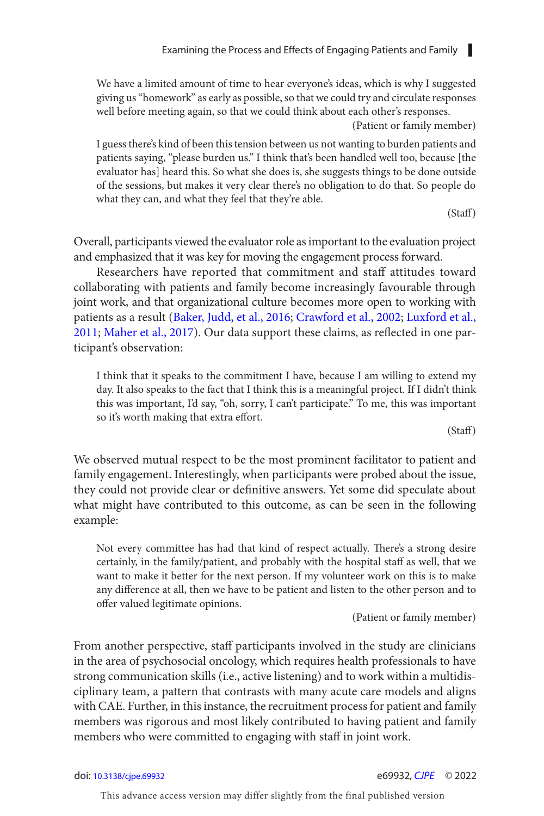<span id="page-6-0"></span>We have a limited amount of time to hear everyone's ideas, which is why I suggested giving us "homework" as early as possible, so that we could try and circulate responses well before meeting again, so that we could think about each other's responses.

(Patient or family member)

I guess there's kind of been this tension between us not wanting to burden patients and patients saying, "please burden us." I think that's been handled well too, because [the evaluator has] heard this. So what she does is, she suggests things to be done outside of the sessions, but makes it very clear there's no obligation to do that. So people do what they can, and what they feel that they're able.

(Staf)

Overall, participants viewed the evaluator role as important to the evaluation project and emphasized that it was key for moving the engagement process forward.

Researchers have reported that commitment and staff attitudes toward collaborating with patients and family become increasingly favourable through joint work, and that organizational culture becomes more open to working with patients as a result ([Baker, Judd, et al., 2016](#page-18-0); [Crawford et al., 2002](#page-18-0); [Luxford et al.,](#page-19-0) [2011](#page-19-0); [Maher et al., 2017](#page-19-0)). Our data support these claims, as refected in one participant's observation:

I think that it speaks to the commitment I have, because I am willing to extend my day. It also speaks to the fact that I think this is a meaningful project. If I didn't think this was important, I'd say, "oh, sorry, I can't participate." To me, this was important so it's worth making that extra effort.

(Staf)

We observed mutual respect to be the most prominent facilitator to patient and family engagement. Interestingly, when participants were probed about the issue, they could not provide clear or defnitive answers. Yet some did speculate about what might have contributed to this outcome, as can be seen in the following example:

Not every committee has had that kind of respect actually. There's a strong desire certainly, in the family/patient, and probably with the hospital staff as well, that we want to make it better for the next person. If my volunteer work on this is to make any diference at all, then we have to be patient and listen to the other person and to offer valued legitimate opinions.

(Patient or family member)

From another perspective, staff participants involved in the study are clinicians in the area of psychosocial oncology, which requires health professionals to have strong communication skills (i.e., active listening) and to work within a multidisciplinary team, a pattern that contrasts with many acute care models and aligns with CAE. Further, in this instance, the recruitment process for patient and family members was rigorous and most likely contributed to having patient and family members who were committed to engaging with staf in joint work.

#### doi: [10.3138/cjpe.69932](https://doi.org/10.3138/cjpe.69932) e69932, [CJPE](https://www.utpjournals.press/loi/cjpe) © 2022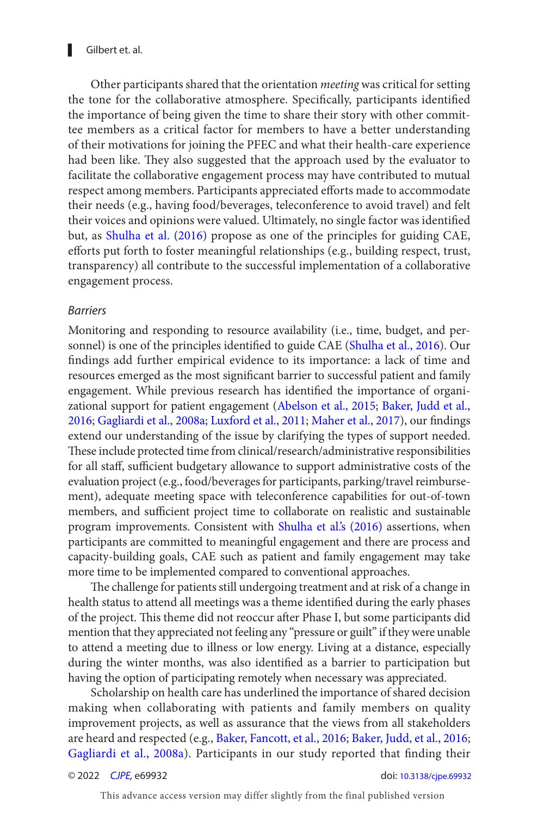<span id="page-7-0"></span>Gilbert et. al.

Other participants shared that the orientation meeting was critical for setting the tone for the collaborative atmosphere. Specifically, participants identified the importance of being given the time to share their story with other committee members as a critical factor for members to have a better understanding of their motivations for joining the PFEC and what their health-care experience had been like. They also suggested that the approach used by the evaluator to facilitate the collaborative engagement process may have contributed to mutual respect among members. Participants appreciated efforts made to accommodate their needs (e.g., having food/beverages, teleconference to avoid travel) and felt their voices and opinions were valued. Ultimately, no single factor was identified but, as Shulha et al. (2016) propose as one of the principles for guiding CAE, efforts put forth to foster meaningful relationships (e.g., building respect, trust, transparency) all contribute to the successful implementation of a collaborative engagement process.

#### **Barriers**

Monitoring and responding to resource availability (i.e., time, budget, and personnel) is one of the principles identifed to guide CAE ([Shulha et al., 2016](#page-19-0)). Our fndings add further empirical evidence to its importance: a lack of time and resources emerged as the most signifcant barrier to successful patient and family engagement. While previous research has identifed the importance of organizational support for patient engagement ([Abelson et al., 2015](#page-17-0); [Baker, Judd et al.,](#page-18-0)  [2016](#page-18-0); [Gagliardi et al., 2008a;](#page-18-0) [Luxford et al., 2011](#page-19-0); [Maher et al., 2017](#page-19-0)), our findings extend our understanding of the issue by clarifying the types of support needed. These include protected time from clinical/research/administrative responsibilities for all staff, sufficient budgetary allowance to support administrative costs of the evaluation project (e.g., food/beverages for participants, parking/travel reimbursement), adequate meeting space with teleconference capabilities for out-of-town members, and sufficient project time to collaborate on realistic and sustainable program improvements. Consistent with Shulha et al's (2016) assertions, when participants are committed to meaningful engagement and there are process and capacity-building goals, CAE such as patient and family engagement may take more time to be implemented compared to conventional approaches.

The challenge for patients still undergoing treatment and at risk of a change in health status to attend all meetings was a theme identifed during the early phases of the project. This theme did not reoccur after Phase I, but some participants did mention that they appreciated not feeling any "pressure or guilt" if they were unable to attend a meeting due to illness or low energy. Living at a distance, especially during the winter months, was also identifed as a barrier to participation but having the option of participating remotely when necessary was appreciated.

Scholarship on health care has underlined the importance of shared decision making when collaborating with patients and family members on quality improvement projects, as well as assurance that the views from all stakeholders are heard and respected (e.g., [Baker, Fancott, et al., 2016](#page-18-0); [Baker, Judd, et al., 2016](#page-18-0); [Gagliardi et al., 2008a](#page-18-0)). Participants in our study reported that finding their

© 2022 [CJPE](https://www.utpjournals.press/loi/cjpe), e69932 doi: [10.3138/cjpe.69932](https://doi.org/10.3138/cjpe.69932)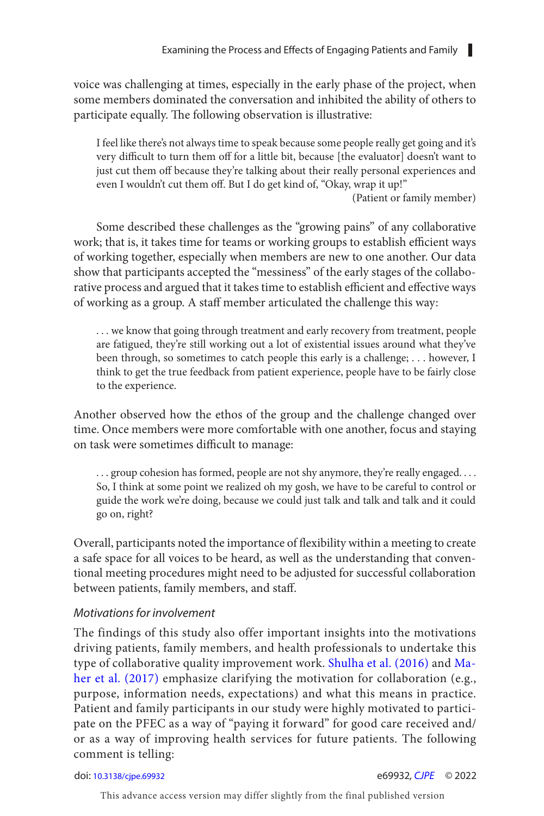voice was challenging at times, especially in the early phase of the project, when some members dominated the conversation and inhibited the ability of others to participate equally. The following observation is illustrative:

I feel like there's not always time to speak because some people really get going and it's very difficult to turn them off for a little bit, because [the evaluator] doesn't want to just cut them off because they're talking about their really personal experiences and even I wouldn't cut them off. But I do get kind of, "Okay, wrap it up!"

(Patient or family member)

Some described these challenges as the "growing pains" of any collaborative work; that is, it takes time for teams or working groups to establish efficient ways of working together, especially when members are new to one another. Our data show that participants accepted the "messiness" of the early stages of the collaborative process and argued that it takes time to establish efficient and effective ways of working as a group. A staf member articulated the challenge this way:

. . . we know that going through treatment and early recovery from treatment, people are fatigued, they're still working out a lot of existential issues around what they've been through, so sometimes to catch people this early is a challenge; . . . however, I think to get the true feedback from patient experience, people have to be fairly close to the experience.

Another observed how the ethos of the group and the challenge changed over time. Once members were more comfortable with one another, focus and staying on task were sometimes difficult to manage:

... group cohesion has formed, people are not shy anymore, they're really engaged.... So, I think at some point we realized oh my gosh, we have to be careful to control or guide the work we're doing, because we could just talk and talk and talk and it could go on, right?

Overall, participants noted the importance of fexibility within a meeting to create a safe space for all voices to be heard, as well as the understanding that conventional meeting procedures might need to be adjusted for successful collaboration between patients, family members, and staff.

#### Motivations for involvement

The findings of this study also offer important insights into the motivations driving patients, family members, and health professionals to undertake this type of collaborative quality improvement work. Shulha et al. (2016) and [Ma](#page-19-0)her et al. (2017) emphasize clarifying the motivation for collaboration (e.g., purpose, information needs, expectations) and what this means in practice. Patient and family participants in our study were highly motivated to participate on the PFEC as a way of "paying it forward" for good care received and/ or as a way of improving health services for future patients. The following comment is telling:

#### doi: [10.3138/cjpe.69932](https://doi.org/10.3138/cjpe.69932) e69932, [CJPE](https://www.utpjournals.press/loi/cjpe) © 2022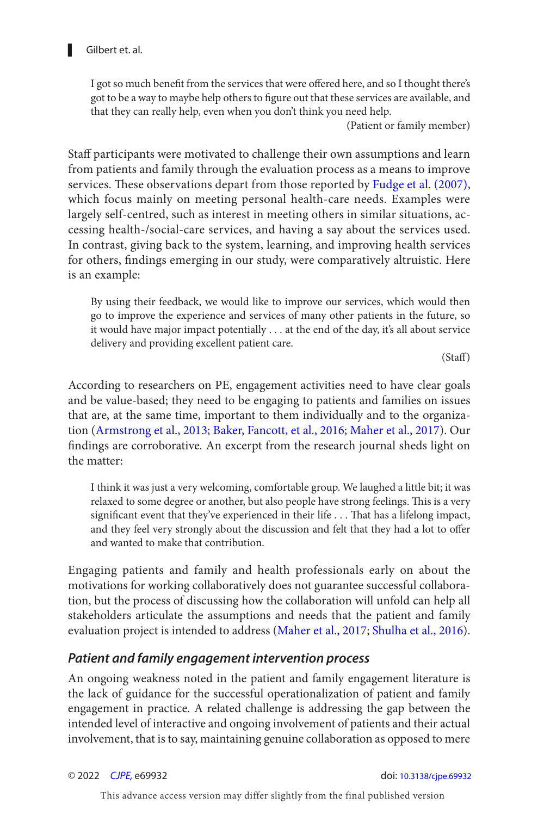<span id="page-9-0"></span>I got so much benefit from the services that were offered here, and so I thought there's got to be a way to maybe help others to fgure out that these services are available, and that they can really help, even when you don't think you need help.

(Patient or family member)

Staff participants were motivated to challenge their own assumptions and learn from patients and family through the evaluation process as a means to improve services. These observations depart from those reported by Fudge et al. (2007), which focus mainly on meeting personal health-care needs. Examples were largely self-centred, such as interest in meeting others in similar situations, accessing health-/social-care services, and having a say about the services used. In contrast, giving back to the system, learning, and improving health services for others, fndings emerging in our study, were comparatively altruistic. Here is an example:

By using their feedback, we would like to improve our services, which would then go to improve the experience and services of many other patients in the future, so it would have major impact potentially . . . at the end of the day, it's all about service delivery and providing excellent patient care.

(Staf)

According to researchers on PE, engagement activities need to have clear goals and be value-based; they need to be engaging to patients and families on issues that are, at the same time, important to them individually and to the organization ([Armstrong et al., 2013](#page-18-0); [Baker, Fancott, et al., 2016](#page-18-0); [Maher et al., 2017](#page-19-0)). Our fndings are corroborative. An excerpt from the research journal sheds light on the matter:

I think it was just a very welcoming, comfortable group. We laughed a little bit; it was relaxed to some degree or another, but also people have strong feelings. This is a very significant event that they've experienced in their life . . . That has a lifelong impact, and they feel very strongly about the discussion and felt that they had a lot to offer and wanted to make that contribution.

Engaging patients and family and health professionals early on about the motivations for working collaboratively does not guarantee successful collaboration, but the process of discussing how the collaboration will unfold can help all stakeholders articulate the assumptions and needs that the patient and family evaluation project is intended to address [\(Maher et al., 2017](#page-19-0); [Shulha et al., 2016](#page-19-0)).

#### **Patient and family engagement intervention process**

An ongoing weakness noted in the patient and family engagement literature is the lack of guidance for the successful operationalization of patient and family engagement in practice. A related challenge is addressing the gap between the intended level of interactive and ongoing involvement of patients and their actual involvement, that is to say, maintaining genuine collaboration as opposed to mere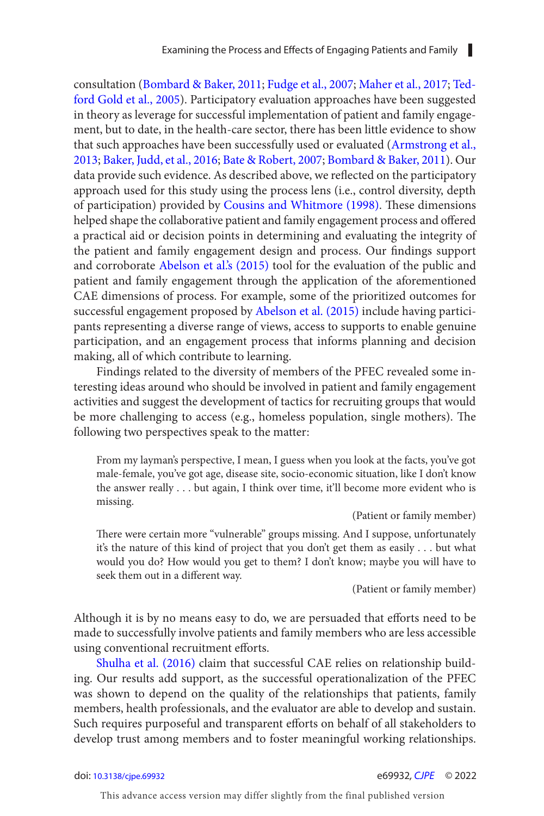<span id="page-10-0"></span>consultation ([Bombard & Baker, 2011](#page-18-0); [Fudge et al., 2007](#page-18-0); [Maher et al., 2017](#page-19-0); [Ted](#page-19-0)[ford Gold et al., 2005](#page-19-0)). Participatory evaluation approaches have been suggested in theory as leverage for successful implementation of patient and family engagement, but to date, in the health-care sector, there has been little evidence to show that such approaches have been successfully used or evaluated [\(Armstrong et al.,](#page-18-0) [2013](#page-18-0); [Baker, Judd, et al., 2016](#page-18-0); [Bate & Robert, 2007](#page-18-0); [Bombard & Baker, 2011](#page-18-0)). Our data provide such evidence. As described above, we refected on the participatory approach used for this study using the process lens (i.e., control diversity, depth of participation) provided by Cousins and Whitmore (1998). These dimensions helped shape the collaborative patient and family engagement process and offered a practical aid or decision points in determining and evaluating the integrity of the patient and family engagement design and process. Our findings support and corroborate Abelson et al.'s (2015) tool for the evaluation of the public and patient and family engagement through the application of the aforementioned CAE dimensions of process. For example, some of the prioritized outcomes for successful engagement proposed by Abelson et al. (2015) include having participants representing a diverse range of views, access to supports to enable genuine participation, and an engagement process that informs planning and decision making, all of which contribute to learning.

Findings related to the diversity of members of the PFEC revealed some interesting ideas around who should be involved in patient and family engagement activities and suggest the development of tactics for recruiting groups that would be more challenging to access (e.g., homeless population, single mothers). The following two perspectives speak to the matter:

From my layman's perspective, I mean, I guess when you look at the facts, you've got male-female, you've got age, disease site, socio-economic situation, like I don't know the answer really . . . but again, I think over time, it'll become more evident who is missing.

(Patient or family member)

There were certain more "vulnerable" groups missing. And I suppose, unfortunately it's the nature of this kind of project that you don't get them as easily . . . but what would you do? How would you get to them? I don't know; maybe you will have to seek them out in a different way.

(Patient or family member)

Although it is by no means easy to do, we are persuaded that efforts need to be made to successfully involve patients and family members who are less accessible using conventional recruitment efforts.

Shulha et al. (2016) claim that successful CAE relies on relationship building. Our results add support, as the successful operationalization of the PFEC was shown to depend on the quality of the relationships that patients, family members, health professionals, and the evaluator are able to develop and sustain. Such requires purposeful and transparent efforts on behalf of all stakeholders to develop trust among members and to foster meaningful working relationships.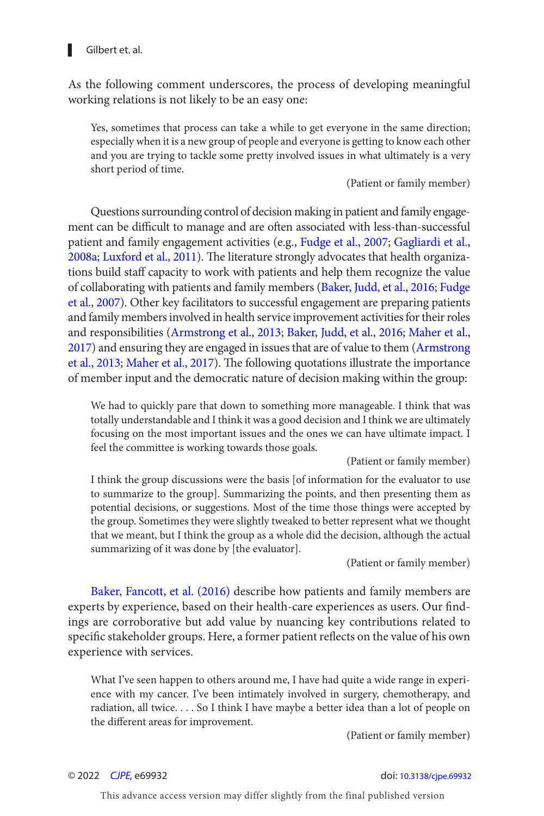

As the following comment underscores, the process of developing meaningful working relations is not likely to be an easy one:

Yes, sometimes that process can take a while to get everyone in the same direction; especially when it is a new group of people and everyone is getting to know each other and you are trying to tackle some pretty involved issues in what ultimately is a very short period of time.

(Patient or family member)

Questions surrounding control of decision making in patient and family engagement can be difficult to manage and are often associated with less-than-successful patient and family engagement activities (e.g., [Fudge et al., 2007](#page-18-0); [Gagliardi et al.,](#page-18-0)  [2008a](#page-18-0); [Luxford et al., 2011](#page-19-0)). The literature strongly advocates that health organizations build staff capacity to work with patients and help them recognize the value of collaborating with patients and family members ([Baker, Judd, et al., 2016; Fudge](#page-18-0)  [et al., 2007](#page-18-0)). Other key facilitators to successful engagement are preparing patients and family members involved in health service improvement activities for their roles and responsibilities ([Armstrong et al., 2013](#page-18-0); [Baker, Judd, et al., 2016](#page-18-0); [Maher et al.,](#page-19-0) [2017](#page-19-0)) and ensuring they are engaged in issues that are of value to them ([Armstrong](#page-18-0)  [et al., 2013](#page-18-0); [Maher et al., 2017](#page-19-0)). The following quotations illustrate the importance of member input and the democratic nature of decision making within the group:

We had to quickly pare that down to something more manageable. I think that was totally understandable and I think it was a good decision and I think we are ultimately focusing on the most important issues and the ones we can have ultimate impact. I feel the committee is working towards those goals.

(Patient or family member)

I think the group discussions were the basis [of information for the evaluator to use to summarize to the group]. Summarizing the points, and then presenting them as potential decisions, or suggestions. Most of the time those things were accepted by the group. Sometimes they were slightly tweaked to better represent what we thought that we meant, but I think the group as a whole did the decision, although the actual summarizing of it was done by [the evaluator].

(Patient or family member)

Baker, Fancott, et al. (2016) describe how patients and family members are experts by experience, based on their health-care experiences as users. Our findings are corroborative but add value by nuancing key contributions related to specifc stakeholder groups. Here, a former patient refects on the value of his own experience with services.

What I've seen happen to others around me, I have had quite a wide range in experience with my cancer. I've been intimately involved in surgery, chemotherapy, and radiation, all twice. . . . So I think I have maybe a better idea than a lot of people on the diferent areas for improvement.

(Patient or family member)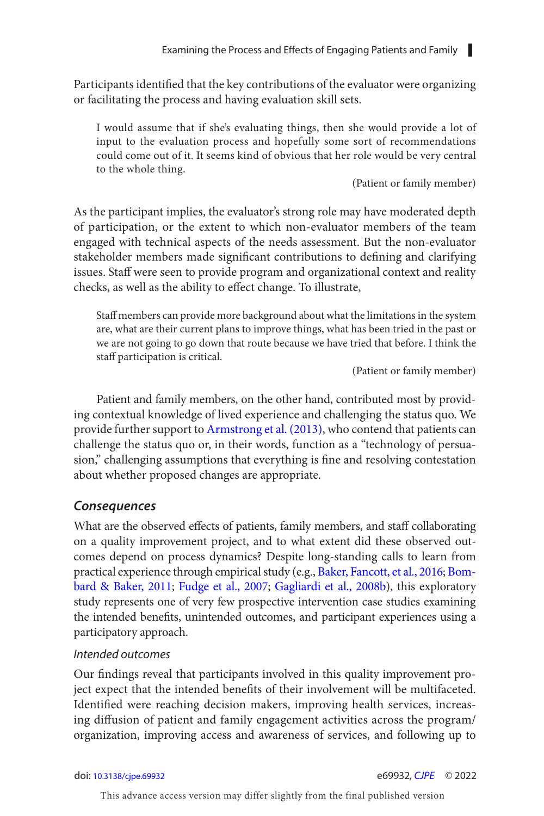Participants identifed that the key contributions of the evaluator were organizing or facilitating the process and having evaluation skill sets.

I would assume that if she's evaluating things, then she would provide a lot of input to the evaluation process and hopefully some sort of recommendations could come out of it. It seems kind of obvious that her role would be very central to the whole thing.

(Patient or family member)

As the participant implies, the evaluator's strong role may have moderated depth of participation, or the extent to which non-evaluator members of the team engaged with technical aspects of the needs assessment. But the non-evaluator stakeholder members made signifcant contributions to defning and clarifying issues. Staff were seen to provide program and organizational context and reality checks, as well as the ability to efect change. To illustrate,

 Staf members can provide more background about what the limitations in the system are, what are their current plans to improve things, what has been tried in the past or we are not going to go down that route because we have tried that before. I think the staff participation is critical.

(Patient or family member)

Patient and family members, on the other hand, contributed most by providing contextual knowledge of lived experience and challenging the status quo. We provide further support to [Armstrong et al. \(2013 \)](#page-18-0), who contend that patients can challenge the status quo or, in their words, function as a "technology of persuasion," challenging assumptions that everything is fne and resolving contestation about whether proposed changes are appropriate.

#### **Consequences**

What are the observed effects of patients, family members, and staff collaborating on a quality improvement project, and to what extent did these observed outcomes depend on process dynamics? Despite long-standing calls to learn from practical experience through empirical study (e.g., [Baker, Fancott, et al., 2016](#page-18-0); [Bom](#page-18-0)[bard & Baker, 2011](#page-18-0); [Fudge et al., 2007](#page-18-0); [Gagliardi et al., 2008b](#page-19-0)), this exploratory study represents one of very few prospective intervention case studies examining the intended benefts, unintended outcomes, and participant experiences using a participatory approach.

#### Intended outcomes

 Our fndings reveal that participants involved in this quality improvement project expect that the intended benefts of their involvement will be multifaceted. Identifed were reaching decision makers, improving health services, increasing difusion of patient and family engagement activities across the program/ organization, improving access and awareness of services, and following up to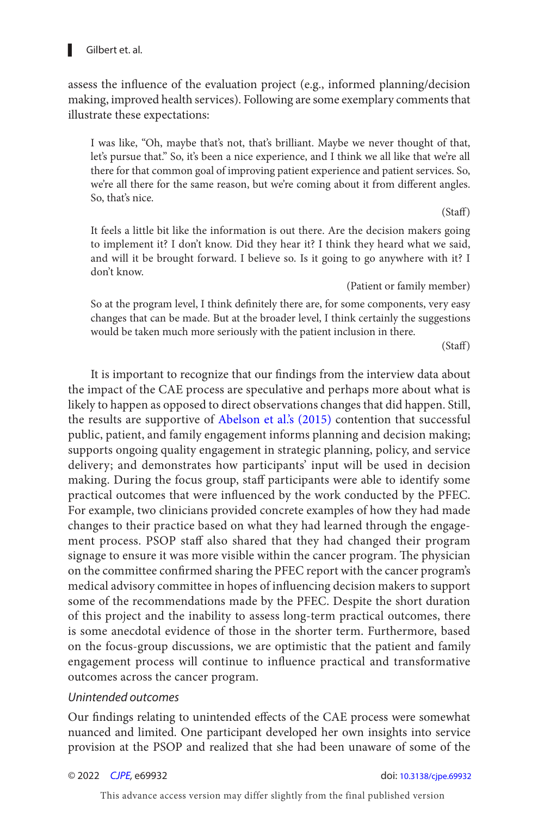# Gilbert et. al.

assess the infuence of the evaluation project (e.g., informed planning/decision making, improved health services). Following are some exemplary comments that illustrate these expectations:

I was like, "Oh, maybe that's not, that's brilliant. Maybe we never thought of that, let's pursue that." So, it's been a nice experience, and I think we all like that we're all there for that common goal of improving patient experience and patient services. So, we're all there for the same reason, but we're coming about it from different angles. So, that's nice.

#### (Staf)

It feels a little bit like the information is out there. Are the decision makers going to implement it? I don't know. Did they hear it? I think they heard what we said, and will it be brought forward. I believe so. Is it going to go anywhere with it? I don't know.

(Patient or family member)

So at the program level, I think defnitely there are, for some components, very easy changes that can be made. But at the broader level, I think certainly the suggestions would be taken much more seriously with the patient inclusion in there.

(Staf)

It is important to recognize that our fndings from the interview data about the impact of the CAE process are speculative and perhaps more about what is likely to happen as opposed to direct observations changes that did happen. Still, the results are supportive of Abelson et al's (2015) contention that successful public, patient, and family engagement informs planning and decision making; supports ongoing quality engagement in strategic planning, policy, and service delivery; and demonstrates how participants' input will be used in decision making. During the focus group, staf participants were able to identify some practical outcomes that were infuenced by the work conducted by the PFEC. For example, two clinicians provided concrete examples of how they had made changes to their practice based on what they had learned through the engagement process. PSOP staff also shared that they had changed their program signage to ensure it was more visible within the cancer program. The physician on the committee confrmed sharing the PFEC report with the cancer program's medical advisory committee in hopes of infuencing decision makers to support some of the recommendations made by the PFEC. Despite the short duration of this project and the inability to assess long-term practical outcomes, there is some anecdotal evidence of those in the shorter term. Furthermore, based on the focus-group discussions, we are optimistic that the patient and family engagement process will continue to infuence practical and transformative outcomes across the cancer program.

#### Unintended outcomes

 Our fndings relating to unintended efects of the CAE process were somewhat nuanced and limited. One participant developed her own insights into service provision at the PSOP and realized that she had been unaware of some of the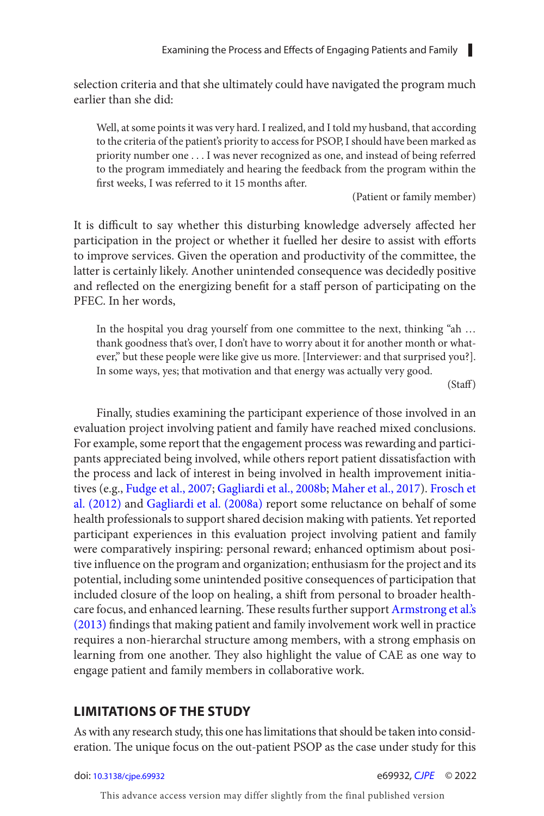<span id="page-14-0"></span>selection criteria and that she ultimately could have navigated the program much earlier than she did:

Well, at some points it was very hard. I realized, and I told my husband, that according to the criteria of the patient's priority to access for PSOP, I should have been marked as priority number one . . . I was never recognized as one, and instead of being referred to the program immediately and hearing the feedback from the program within the first weeks, I was referred to it 15 months after.

(Patient or family member)

It is difficult to say whether this disturbing knowledge adversely affected her participation in the project or whether it fuelled her desire to assist with efforts to improve services. Given the operation and productivity of the committee, the latter is certainly likely. Another unintended consequence was decidedly positive and reflected on the energizing benefit for a staff person of participating on the PFEC. In her words,

In the hospital you drag yourself from one committee to the next, thinking "ah … thank goodness that's over, I don't have to worry about it for another month or whatever," but these people were like give us more. [Interviewer: and that surprised you?]. In some ways, yes; that motivation and that energy was actually very good.

(Staf)

Finally, studies examining the participant experience of those involved in an evaluation project involving patient and family have reached mixed conclusions. For example, some report that the engagement process was rewarding and participants appreciated being involved, while others report patient dissatisfaction with the process and lack of interest in being involved in health improvement initiatives (e.g., [Fudge et al., 2007](#page-18-0); [Gagliardi et al., 2008b](#page-19-0); [Maher et al., 2017](#page-19-0)). [Frosch et](#page-18-0)  al. (2012) and Gagliardi et al. (2008a) report some reluctance on behalf of some health professionals to support shared decision making with patients. Yet reported participant experiences in this evaluation project involving patient and family were comparatively inspiring: personal reward; enhanced optimism about positive infuence on the program and organization; enthusiasm for the project and its potential, including some unintended positive consequences of participation that included closure of the loop on healing, a shif from personal to broader health-care focus, and enhanced learning. These results further support [Armstrong et al.'s](#page-18-0) [\(2013\)](#page-18-0) fndings that making patient and family involvement work well in practice requires a non-hierarchal structure among members, with a strong emphasis on learning from one another. They also highlight the value of CAE as one way to engage patient and family members in collaborative work.

#### **LIMITATIONS OF THE STUDY**

As with any research study, this one has limitations that should be taken into consideration. The unique focus on the out-patient PSOP as the case under study for this

doi: [10.3138/cjpe.69932](https://doi.org/10.3138/cjpe.69932) e69932, [CJPE](https://www.utpjournals.press/loi/cjpe) © 2022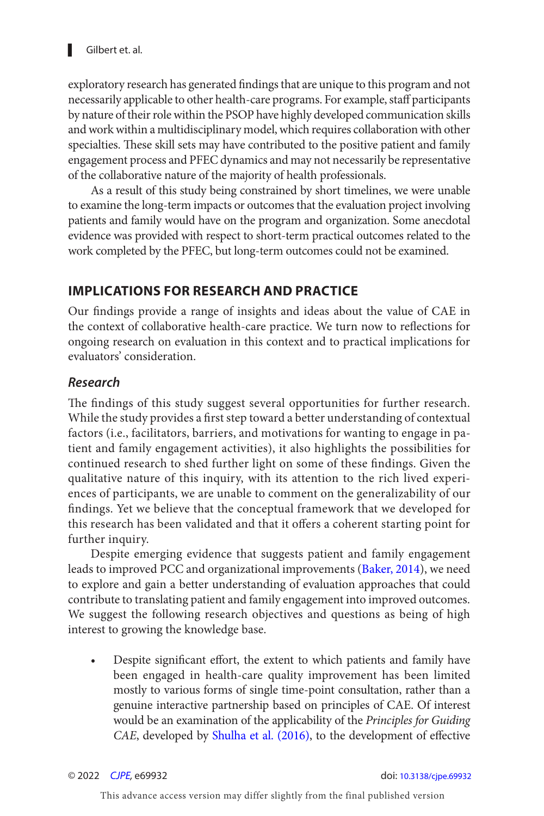<span id="page-15-0"></span>exploratory research has generated fndings that are unique to this program and not necessarily applicable to other health-care programs. For example, staff participants by nature of their role within the PSOP have highly developed communication skills and work within a multidisciplinary model, which requires collaboration with other specialties. These skill sets may have contributed to the positive patient and family engagement process and PFEC dynamics and may not necessarily be representative of the collaborative nature of the majority of health professionals.

As a result of this study being constrained by short timelines, we were unable to examine the long-term impacts or outcomes that the evaluation project involving patients and family would have on the program and organization. Some anecdotal evidence was provided with respect to short-term practical outcomes related to the work completed by the PFEC, but long-term outcomes could not be examined.

# **IMPLICATIONS FOR RESEARCH AND PRACTICE**

 Our fndings provide a range of insights and ideas about the value of CAE in the context of collaborative health-care practice. We turn now to reflections for ongoing research on evaluation in this context and to practical implications for evaluators' consideration.

### **Research**

The findings of this study suggest several opportunities for further research. While the study provides a frst step toward a better understanding of contextual factors (i.e., facilitators, barriers, and motivations for wanting to engage in patient and family engagement activities), it also highlights the possibilities for continued research to shed further light on some of these fndings. Given the qualitative nature of this inquiry, with its attention to the rich lived experiences of participants, we are unable to comment on the generalizability of our fndings. Yet we believe that the conceptual framework that we developed for this research has been validated and that it offers a coherent starting point for further inquiry.

Despite emerging evidence that suggests patient and family engagement leads to improved PCC and organizational improvements ([Baker, 2014](#page-18-0)), we need to explore and gain a better understanding of evaluation approaches that could contribute to translating patient and family engagement into improved outcomes. We suggest the following research objectives and questions as being of high interest to growing the knowledge base.

Despite significant effort, the extent to which patients and family have been engaged in health-care quality improvement has been limited mostly to various forms of single time-point consultation, rather than a genuine interactive partnership based on principles of CAE. Of interest would be an examination of the applicability of the *Principles for Guiding* CAE, developed by Shulha et al. (2016), to the development of effective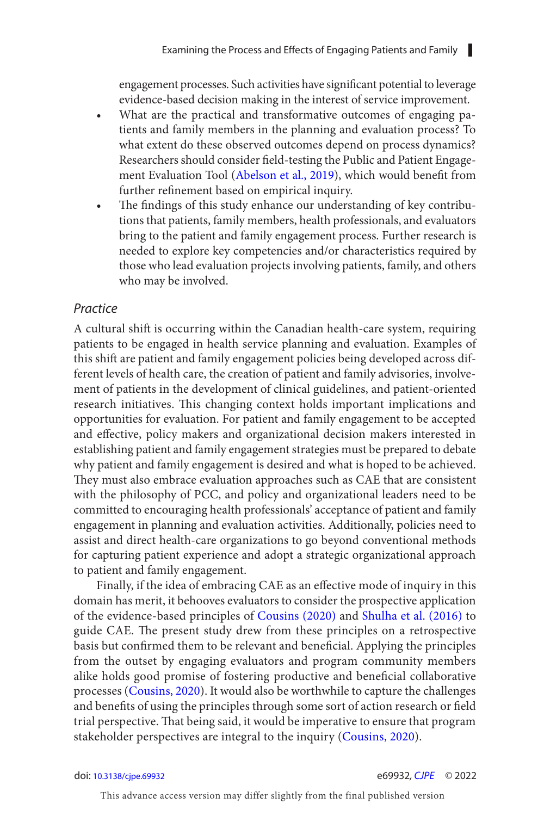<span id="page-16-0"></span>engagement processes. Such activities have signifcant potential to leverage evidence-based decision making in the interest of service improvement.

- What are the practical and transformative outcomes of engaging patients and family members in the planning and evaluation process? To what extent do these observed outcomes depend on process dynamics? Researchers should consider feld-testing the Public and Patient Engage-ment Evaluation Tool ([Abelson et al., 2019](#page-18-0)), which would benefit from further refnement based on empirical inquiry.
- The findings of this study enhance our understanding of key contributions that patients, family members, health professionals, and evaluators bring to the patient and family engagement process. Further research is needed to explore key competencies and/or characteristics required by those who lead evaluation projects involving patients, family, and others who may be involved.

#### Practice

A cultural shift is occurring within the Canadian health-care system, requiring patients to be engaged in health service planning and evaluation. Examples of this shift are patient and family engagement policies being developed across different levels of health care, the creation of patient and family advisories, involvement of patients in the development of clinical guidelines, and patient-oriented research initiatives. This changing context holds important implications and opportunities for evaluation. For patient and family engagement to be accepted and efective, policy makers and organizational decision makers interested in establishing patient and family engagement strategies must be prepared to debate why patient and family engagement is desired and what is hoped to be achieved. They must also embrace evaluation approaches such as CAE that are consistent with the philosophy of PCC, and policy and organizational leaders need to be committed to encouraging health professionals' acceptance of patient and family engagement in planning and evaluation activities. Additionally, policies need to assist and direct health-care organizations to go beyond conventional methods for capturing patient experience and adopt a strategic organizational approach to patient and family engagement.

Finally, if the idea of embracing CAE as an efective mode of inquiry in this domain has merit, it behooves evaluators to consider the prospective application of the evidence-based principles of [Cousins \(2020\)](#page-18-0) and Shulha et al. (2016) to guide CAE. The present study drew from these principles on a retrospective basis but confrmed them to be relevant and benefcial. Applying the principles from the outset by engaging evaluators and program community members alike holds good promise of fostering productive and beneficial collaborative processes ([Cousins, 2020](#page-18-0)). It would also be worthwhile to capture the challenges and benefits of using the principles through some sort of action research or field trial perspective. That being said, it would be imperative to ensure that program stakeholder perspectives are integral to the inquiry ([Cousins, 2020](#page-18-0)).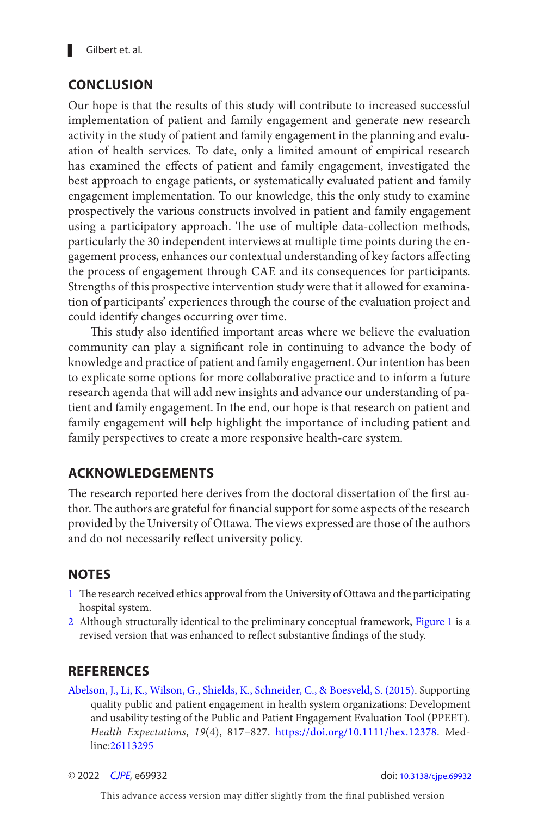# <span id="page-17-0"></span> **CONCLUSION**

Our hope is that the results of this study will contribute to increased successful implementation of patient and family engagement and generate new research activity in the study of patient and family engagement in the planning and evaluation of health services. To date, only a limited amount of empirical research has examined the effects of patient and family engagement, investigated the best approach to engage patients, or systematically evaluated patient and family engagement implementation. To our knowledge, this the only study to examine prospectively the various constructs involved in patient and family engagement using a participatory approach. The use of multiple data-collection methods, particularly the 30 independent interviews at multiple time points during the engagement process, enhances our contextual understanding of key factors affecting the process of engagement through CAE and its consequences for participants. Strengths of this prospective intervention study were that it allowed for examination of participants' experiences through the course of the evaluation project and could identify changes occurring over time.

This study also identified important areas where we believe the evaluation community can play a signifcant role in continuing to advance the body of knowledge and practice of patient and family engagement. Our intention has been to explicate some options for more collaborative practice and to inform a future research agenda that will add new insights and advance our understanding of patient and family engagement. In the end, our hope is that research on patient and family engagement will help highlight the importance of including patient and family perspectives to create a more responsive health-care system.

# **ACKNOWLEDGEMENTS**

The research reported here derives from the doctoral dissertation of the first author. The authors are grateful for financial support for some aspects of the research provided by the University of Ottawa. The views expressed are those of the authors and do not necessarily refect university policy.

# **NOTES**

- [1](#page-2-0) The research received ethics approval from the University of Ottawa and the participating hospital system.
- [2](#page-2-0) Although structurally identical to the preliminary conceptual framework, [Figure 1](#page-3-0) is a revised version that was enhanced to refect substantive fndings of the study.

# **REFERENCES**

Abelson, J., Li, K., Wilson, G., Shields, K., Schneider, C., & Boesveld, S. (2015). Supporting quality public and patient engagement in health system organizations: Development and usability testing of the Public and Patient Engagement Evaluation Tool (PPEET) . Health Expectations, 19(4), 817-827. [https://doi.org/10.1111/hex.12378.](https://doi.org/10.1111/hex.12378) Medline:[26113295](https://preview.ncbi.nlm.nih.gov/pubmed/?term=26113295)

© 2022 [CJPE](https://www.utpjournals.press/loi/cjpe), e69932 doi: [10.3138/cjpe.69932](https://doi.org/10.3138/cjpe.69932)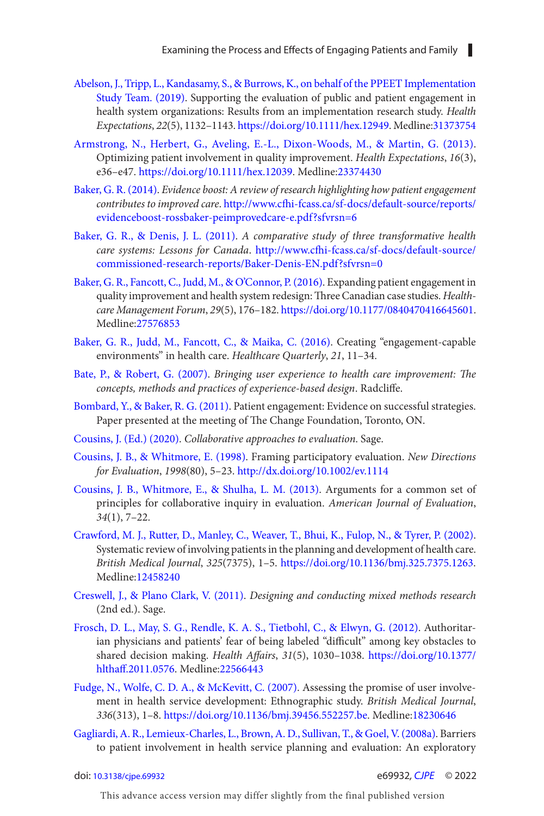- <span id="page-18-0"></span>Abelson, J., Tripp, L., Kandasamy, S., & Burrows, K., on behalf of the PPEET Implementation Study Team. (2019). Supporting the evaluation of public and patient engagement in health system organizations: Results from an implementation research study. Health Expectations, 22(5), 1132-1143.<https://doi.org/10.1111/hex.12949>. Medline:[31373754](https://preview.ncbi.nlm.nih.gov/pubmed/?term=31373754)
- Armstrong, N., Herbert, G., Aveling, E.-L., Dixon-Woods, M., & Martin, G. (2013). Optimizing patient involvement in quality improvement. Health Expectations, 16(3), e36 – e47 . <https://doi.org/10.1111/hex.12039>. Medline:[23374430](https://preview.ncbi.nlm.nih.gov/pubmed/?term=23374430)
- Baker, G. R. (2014). Evidence boost: A review of research highlighting how patient engagement contributes to improved care. http://www.cfhi-fcass.ca/sf-docs/default-source/reports/ [evidenceboost-rossbaker-peimprovedcare-e.pdf?sfvrsn=6](http://www.cfhi-fcass.ca/sf-docs/default-source/reports/evidenceboost-rossbaker-peimprovedcare-e.pdf?sfvrsn=6)
- Baker, G. R., & Denis, J. L. (2011). A comparative study of three transformative health care systems: Lessons for Canada. http://www.cfhi-fcass.ca/sf-docs/default-source/ [commissioned-research-reports/Baker-Denis-EN.pdf?sfvrsn=0](http://www.cfhi-fcass.ca/sf-docs/default-source/commissioned-research-reports/Baker-Denis-EN.pdf?sfvrsn=0)
- Baker, G. R., Fancott, C., Judd, M., & O'Connor, P. (2016). Expanding patient engagement in quality improvement and health system redesign: Three Canadian case studies. Healthcare Management Forum, 29(5), 176-182. <https://doi.org/10.1177/0840470416645601>. Medline:[27576853](https://preview.ncbi.nlm.nih.gov/pubmed/?term=27576853)
- Baker, G. R., Judd, M., Fancott, C., & Maika, C. (2016). Creating "engagement-capable environments" in health care. Healthcare Quarterly, 21, 11-34.
- Bate, P., & Robert, G. (2007). Bringing user experience to health care improvement: The concepts, methods and practices of experience-based design. Radcliffe.
- Bombard, Y., & Baker, R. G. (2011). Patient engagement: Evidence on successful strategies. Paper presented at the meeting of The Change Foundation, Toronto, ON.
- Cousins, J. (Ed.) (2020). Collaborative approaches to evaluation. Sage.
- Cousins, J. B., & Whitmore, E. (1998). Framing participatory evaluation. New Directions for Evaluation, 1998(80), 5-23. http://dx.doi.org/10.1002/ev.1114
- Cousins, J. B., Whitmore, E., & Shulha, L. M. (2013). Arguments for a common set of principles for collaborative inquiry in evaluation. American Journal of Evaluation,  $34(1)$ , 7-22.
- Crawford, M. J., Rutter, D., Manley, C., Weaver, T., Bhui, K., Fulop, N., & Tyrer, P. (2002). Systematic review of involving patients in the planning and development of health care. British Medical Journal, 325(7375), 1-5. <https://doi.org/10.1136/bmj.325.7375.1263>. Medline:[12458240](https://preview.ncbi.nlm.nih.gov/pubmed/?term=12458240)
- Creswell, J., & Plano Clark, V. (2011). Designing and conducting mixed methods research (2nd ed.). Sage.
- Frosch, D. L., May, S. G., Rendle, K. A. S., Tietbohl, C., & Elwyn, G. (2012). Authoritarian physicians and patients' fear of being labeled "difficult" among key obstacles to shared decision making. Health Affairs, 31(5), 1030-1038. https://doi.org/10.1377/ [hlthaf.2011.0576](https://doi.org/10.1377/hlthaff.2011.0576). Medline[:22566443](https://preview.ncbi.nlm.nih.gov/pubmed/?term=22566443)
- Fudge, N., Wolfe, C. D. A., & McKevitt, C. (2007). Assessing the promise of user involvement in health service development: Ethnographic study. British Medical Journal, 336( 313 ), 1 – 8 .<https://doi.org/10.1136/bmj.39456.552257.be>. Medline:[18230646](https://preview.ncbi.nlm.nih.gov/pubmed/?term=18230646)
- Gagliardi, A. R., Lemieux-Charles, L., Brown, A. D., Sullivan, T., & Goel, V. (2008a). Barriers to patient involvement in health service planning and evaluation: An exploratory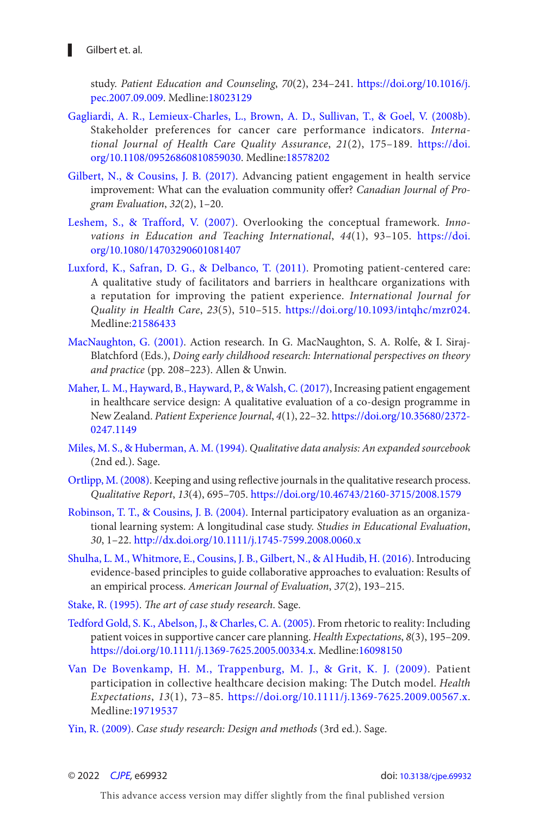<span id="page-19-0"></span>study. Patient Education and Counseling, 70(2), 234-241. https://doi.org/10.1016/j. [pec.2007.09.009](https://doi.org/10.1016/j.pec.2007.09.009). Medline:[18023129](https://preview.ncbi.nlm.nih.gov/pubmed/?term=18023129)

- Gagliardi, A. R., Lemieux-Charles, L., Brown, A. D., Sullivan, T., & Goel, V. (2008b). Stakeholder preferences for cancer care performance indicators . International Journal of Health Care Quality Assurance, 21(2), 175-189. [https://doi.](https://doi.org/10.1108/09526860810859030) [org/10.1108/09526860810859030](https://doi.org/10.1108/09526860810859030). Medline:[18578202](https://preview.ncbi.nlm.nih.gov/pubmed/?term=18578202)
- Gilbert, N., & Cousins, J. B. (2017). Advancing patient engagement in health service improvement: What can the evaluation community ofer? Canadian Journal of Program Evaluation,  $32(2)$ ,  $1-20$ .
- Leshem, S., & Trafford, V. (2007). Overlooking the conceptual framework. Innovations in Education and Teaching International,  $44(1)$ ,  $93-105$ . https://doi. [org/10.1080/14703290601081407](https://doi.org/10.1080/14703290601081407)
- Luxford, K., Safran, D. G., & Delbanco, T. (2011). Promoting patient-centered care: A qualitative study of facilitators and barriers in healthcare organizations with a reputation for improving the patient experience. International Journal for Quality in Health Care, 23(5), 510-515. <https://doi.org/10.1093/intqhc/mzr024>. Medline:[21586433](https://preview.ncbi.nlm.nih.gov/pubmed/?term=21586433)
- MacNaughton, G. (2001). Action research. In G. MacNaughton, S. A. Rolfe, & I. Siraj-Blatchford (Eds.), Doing early childhood research: International perspectives on theory and practice (pp. 208-223). Allen & Unwin.
- Maher, L. M., Hayward, B., Hayward, P., & Walsh, C. (2017), Increasing patient engagement in healthcare service design: A qualitative evaluation of a co-design programme in New Zealand. Patient Experience Journal, 4( 1 ), 22 – 32 . [https://doi.org/10.35680/2372-](https://doi.org/10.35680/2372-0247.1149) [0247.1149](https://doi.org/10.35680/2372-0247.1149)
- Miles, M. S., & Huberman, A. M. (1994). Qualitative data analysis: An expanded sourcebook (2nd ed.). Sage.
- Ortlipp, M. (2008). Keeping and using reflective journals in the qualitative research process. Qualitative Report, 13(4), 695-705.<https://doi.org/10.46743/2160-3715/2008.1579>
- Robinson, T. T., & Cousins, J. B. (2004). Internal participatory evaluation as an organizational learning system: A longitudinal case study. Studies in Educational Evaluation, 30, 1 – 22 .<http://dx.doi.org/10.1111/j.1745-7599.2008.0060.x>
- [Shulha , L. M. , Whitmore , E. , Cousins , J. B. , Gilbert , N. , & Al Hudib , H. \( 2016 \)](#page-7-0). Introducing evidence-based principles to guide collaborative approaches to evaluation: Results of an empirical process. American Journal of Evaluation, 37(2), 193-215.
- Stake, R. (1995). The art of case study research. Sage.
- Tedford Gold, S. K., Abelson, J., & Charles, C. A. (2005). From rhetoric to reality: Including patient voices in supportive cancer care planning. Health Expectations, 8(3), 195-209. [https://doi.org/10.1111/j.1369-7625.2005.00334.x.](https://doi.org/10.1111/j.1369-7625.2005.00334.x) Medline:[16098150](https://preview.ncbi.nlm.nih.gov/pubmed/?term=16098150)
- Van De Bovenkamp, H. M., Trappenburg, M. J., & Grit, K. J. (2009). Patient participation in collective healthcare decision making: The Dutch model. Health Expectations, 13(1), 73-85. <https://doi.org/10.1111/j.1369-7625.2009.00567.x>. Medline:[19719537](https://preview.ncbi.nlm.nih.gov/pubmed/?term=19719537)
- Yin, R. (2009). Case study research: Design and methods (3rd ed.). Sage.

© 2022 [CJPE](https://www.utpjournals.press/loi/cjpe), e69932 doi: [10.3138/cjpe.69932](https://doi.org/10.3138/cjpe.69932)